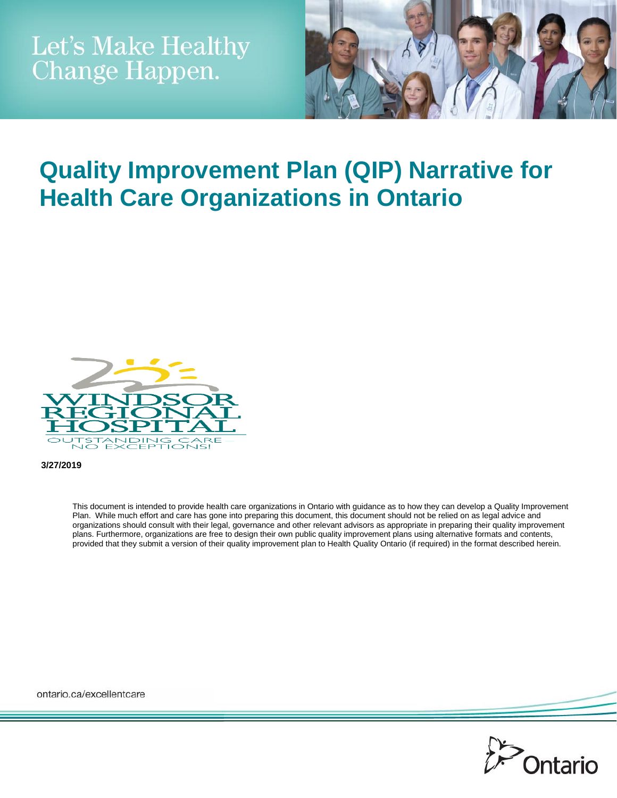

# **Quality Improvement Plan (QIP) Narrative for Health Care Organizations in Ontario**



**3/27/2019**

This document is intended to provide health care organizations in Ontario with guidance as to how they can develop a Quality Improvement Plan. While much effort and care has gone into preparing this document, this document should not be relied on as legal advice and organizations should consult with their legal, governance and other relevant advisors as appropriate in preparing their quality improvement plans. Furthermore, organizations are free to design their own public quality improvement plans using alternative formats and contents, provided that they submit a version of their quality improvement plan to Health Quality Ontario (if required) in the format described herein.

ontario.ca/excellentcare

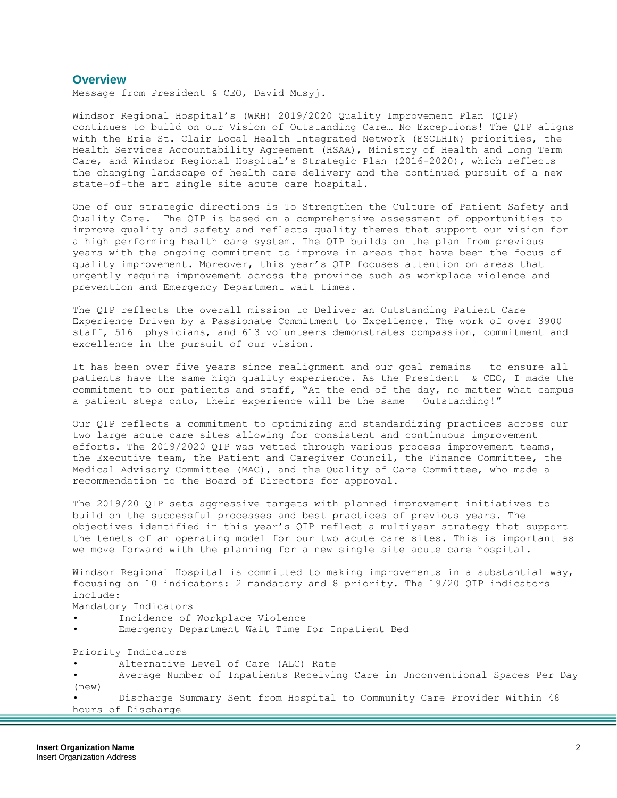### **Overview**

Message from President & CEO, David Musyj.

Windsor Regional Hospital's (WRH) 2019/2020 Quality Improvement Plan (QIP) continues to build on our Vision of Outstanding Care… No Exceptions! The QIP aligns with the Erie St. Clair Local Health Integrated Network (ESCLHIN) priorities, the Health Services Accountability Agreement (HSAA), Ministry of Health and Long Term Care, and Windsor Regional Hospital's Strategic Plan (2016-2020), which reflects the changing landscape of health care delivery and the continued pursuit of a new state-of-the art single site acute care hospital.

One of our strategic directions is To Strengthen the Culture of Patient Safety and Quality Care. The QIP is based on a comprehensive assessment of opportunities to improve quality and safety and reflects quality themes that support our vision for a high performing health care system. The QIP builds on the plan from previous years with the ongoing commitment to improve in areas that have been the focus of quality improvement. Moreover, this year's QIP focuses attention on areas that urgently require improvement across the province such as workplace violence and prevention and Emergency Department wait times.

The QIP reflects the overall mission to Deliver an Outstanding Patient Care Experience Driven by a Passionate Commitment to Excellence. The work of over 3900 staff, 516 physicians, and 613 volunteers demonstrates compassion, commitment and excellence in the pursuit of our vision.

It has been over five years since realignment and our goal remains – to ensure all patients have the same high quality experience. As the President & CEO, I made the commitment to our patients and staff, "At the end of the day, no matter what campus a patient steps onto, their experience will be the same – Outstanding!"

Our QIP reflects a commitment to optimizing and standardizing practices across our two large acute care sites allowing for consistent and continuous improvement efforts. The 2019/2020 QIP was vetted through various process improvement teams, the Executive team, the Patient and Caregiver Council, the Finance Committee, the Medical Advisory Committee (MAC), and the Quality of Care Committee, who made a recommendation to the Board of Directors for approval.

The 2019/20 QIP sets aggressive targets with planned improvement initiatives to build on the successful processes and best practices of previous years. The objectives identified in this year's QIP reflect a multiyear strategy that support the tenets of an operating model for our two acute care sites. This is important as we move forward with the planning for a new single site acute care hospital.

Windsor Regional Hospital is committed to making improvements in a substantial way, focusing on 10 indicators: 2 mandatory and 8 priority. The 19/20 QIP indicators include:

Mandatory Indicators

- Incidence of Workplace Violence
- Emergency Department Wait Time for Inpatient Bed

Priority Indicators

- Alternative Level of Care (ALC) Rate
- Average Number of Inpatients Receiving Care in Unconventional Spaces Per Day (new)

• Discharge Summary Sent from Hospital to Community Care Provider Within 48 hours of Discharge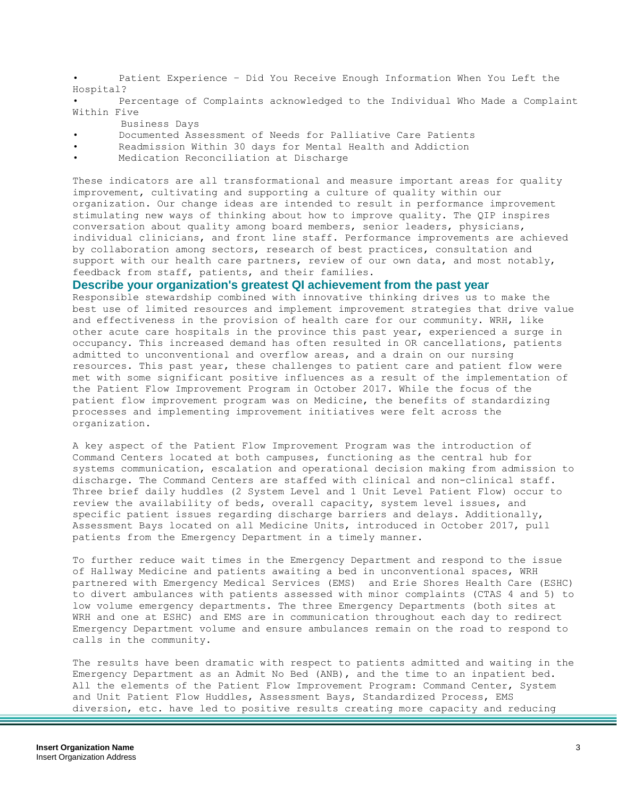• Patient Experience – Did You Receive Enough Information When You Left the Hospital?

• Percentage of Complaints acknowledged to the Individual Who Made a Complaint Within Five

- Business Days
- Documented Assessment of Needs for Palliative Care Patients
- Readmission Within 30 days for Mental Health and Addiction
- Medication Reconciliation at Discharge

These indicators are all transformational and measure important areas for quality improvement, cultivating and supporting a culture of quality within our organization. Our change ideas are intended to result in performance improvement stimulating new ways of thinking about how to improve quality. The QIP inspires conversation about quality among board members, senior leaders, physicians, individual clinicians, and front line staff. Performance improvements are achieved by collaboration among sectors, research of best practices, consultation and support with our health care partners, review of our own data, and most notably, feedback from staff, patients, and their families.

### **Describe your organization's greatest QI achievement from the past year**

Responsible stewardship combined with innovative thinking drives us to make the best use of limited resources and implement improvement strategies that drive value and effectiveness in the provision of health care for our community. WRH, like other acute care hospitals in the province this past year, experienced a surge in occupancy. This increased demand has often resulted in OR cancellations, patients admitted to unconventional and overflow areas, and a drain on our nursing resources. This past year, these challenges to patient care and patient flow were met with some significant positive influences as a result of the implementation of the Patient Flow Improvement Program in October 2017. While the focus of the patient flow improvement program was on Medicine, the benefits of standardizing processes and implementing improvement initiatives were felt across the organization.

A key aspect of the Patient Flow Improvement Program was the introduction of Command Centers located at both campuses, functioning as the central hub for systems communication, escalation and operational decision making from admission to discharge. The Command Centers are staffed with clinical and non-clinical staff. Three brief daily huddles (2 System Level and 1 Unit Level Patient Flow) occur to review the availability of beds, overall capacity, system level issues, and specific patient issues regarding discharge barriers and delays. Additionally, Assessment Bays located on all Medicine Units, introduced in October 2017, pull patients from the Emergency Department in a timely manner.

To further reduce wait times in the Emergency Department and respond to the issue of Hallway Medicine and patients awaiting a bed in unconventional spaces, WRH partnered with Emergency Medical Services (EMS) and Erie Shores Health Care (ESHC) to divert ambulances with patients assessed with minor complaints (CTAS 4 and 5) to low volume emergency departments. The three Emergency Departments (both sites at WRH and one at ESHC) and EMS are in communication throughout each day to redirect Emergency Department volume and ensure ambulances remain on the road to respond to calls in the community.

The results have been dramatic with respect to patients admitted and waiting in the Emergency Department as an Admit No Bed (ANB), and the time to an inpatient bed. All the elements of the Patient Flow Improvement Program: Command Center, System and Unit Patient Flow Huddles, Assessment Bays, Standardized Process, EMS diversion, etc. have led to positive results creating more capacity and reducing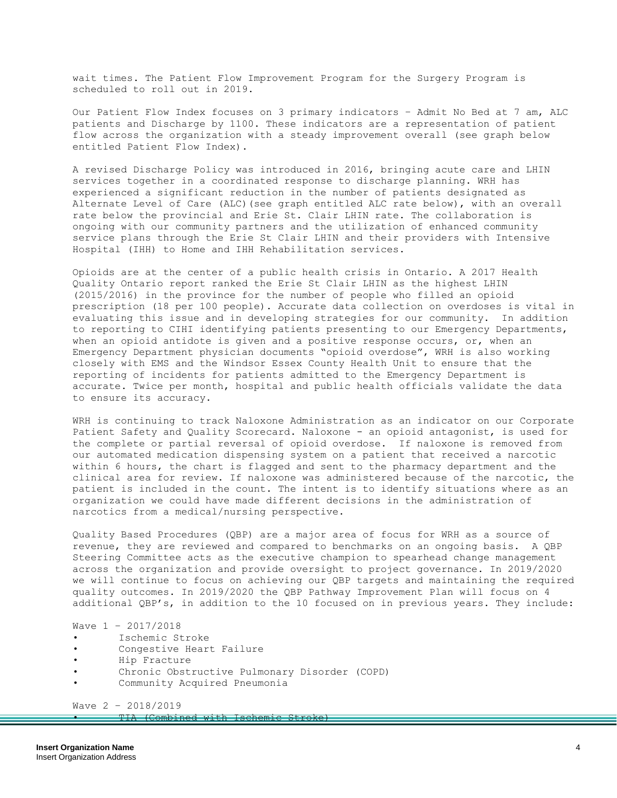wait times. The Patient Flow Improvement Program for the Surgery Program is scheduled to roll out in 2019.

Our Patient Flow Index focuses on 3 primary indicators – Admit No Bed at 7 am, ALC patients and Discharge by 1100. These indicators are a representation of patient flow across the organization with a steady improvement overall (see graph below entitled Patient Flow Index).

A revised Discharge Policy was introduced in 2016, bringing acute care and LHIN services together in a coordinated response to discharge planning. WRH has experienced a significant reduction in the number of patients designated as Alternate Level of Care (ALC)(see graph entitled ALC rate below), with an overall rate below the provincial and Erie St. Clair LHIN rate. The collaboration is ongoing with our community partners and the utilization of enhanced community service plans through the Erie St Clair LHIN and their providers with Intensive Hospital (IHH) to Home and IHH Rehabilitation services.

Opioids are at the center of a public health crisis in Ontario. A 2017 Health Quality Ontario report ranked the Erie St Clair LHIN as the highest LHIN (2015/2016) in the province for the number of people who filled an opioid prescription (18 per 100 people). Accurate data collection on overdoses is vital in evaluating this issue and in developing strategies for our community. In addition to reporting to CIHI identifying patients presenting to our Emergency Departments, when an opioid antidote is given and a positive response occurs, or, when an Emergency Department physician documents "opioid overdose", WRH is also working closely with EMS and the Windsor Essex County Health Unit to ensure that the reporting of incidents for patients admitted to the Emergency Department is accurate. Twice per month, hospital and public health officials validate the data to ensure its accuracy.

WRH is continuing to track Naloxone Administration as an indicator on our Corporate Patient Safety and Quality Scorecard. Naloxone - an opioid antagonist, is used for the complete or partial reversal of opioid overdose. If naloxone is removed from our automated medication dispensing system on a patient that received a narcotic within 6 hours, the chart is flagged and sent to the pharmacy department and the clinical area for review. If naloxone was administered because of the narcotic, the patient is included in the count. The intent is to identify situations where as an organization we could have made different decisions in the administration of narcotics from a medical/nursing perspective.

Quality Based Procedures (QBP) are a major area of focus for WRH as a source of revenue, they are reviewed and compared to benchmarks on an ongoing basis. A QBP Steering Committee acts as the executive champion to spearhead change management across the organization and provide oversight to project governance. In 2019/2020 we will continue to focus on achieving our QBP targets and maintaining the required quality outcomes. In 2019/2020 the QBP Pathway Improvement Plan will focus on 4 additional QBP's, in addition to the 10 focused on in previous years. They include:

### Wave 1 – 2017/2018

- Ischemic Stroke
- Congestive Heart Failure
- Hip Fracture
- Chronic Obstructive Pulmonary Disorder (COPD)
- Community Acquired Pneumonia

Wave 2 – 2018/2019

• TIA (Combined with Ischemic Stroke)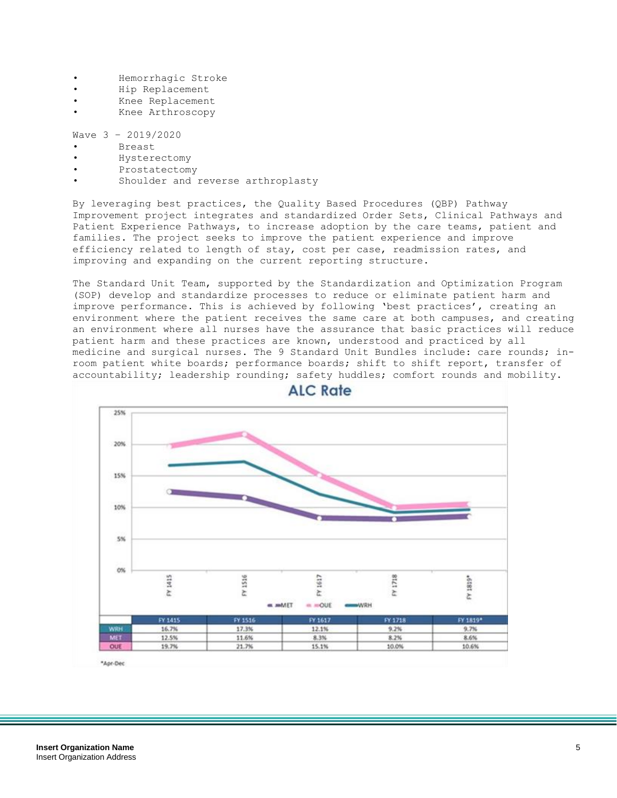- Hemorrhagic Stroke
- Hip Replacement
- Knee Replacement
- Knee Arthroscopy

Wave 3 – 2019/2020

- Breast
- Hysterectomy
- Prostatectomy
- Shoulder and reverse arthroplasty

By leveraging best practices, the Quality Based Procedures (QBP) Pathway Improvement project integrates and standardized Order Sets, Clinical Pathways and Patient Experience Pathways, to increase adoption by the care teams, patient and families. The project seeks to improve the patient experience and improve efficiency related to length of stay, cost per case, readmission rates, and improving and expanding on the current reporting structure.

The Standard Unit Team, supported by the Standardization and Optimization Program (SOP) develop and standardize processes to reduce or eliminate patient harm and improve performance. This is achieved by following 'best practices', creating an environment where the patient receives the same care at both campuses, and creating an environment where all nurses have the assurance that basic practices will reduce patient harm and these practices are known, understood and practiced by all medicine and surgical nurses. The 9 Standard Unit Bundles include: care rounds; inroom patient white boards; performance boards; shift to shift report, transfer of accountability; leadership rounding; safety huddles; comfort rounds and mobility.



**ALC Rate** 

\*Apr-Dec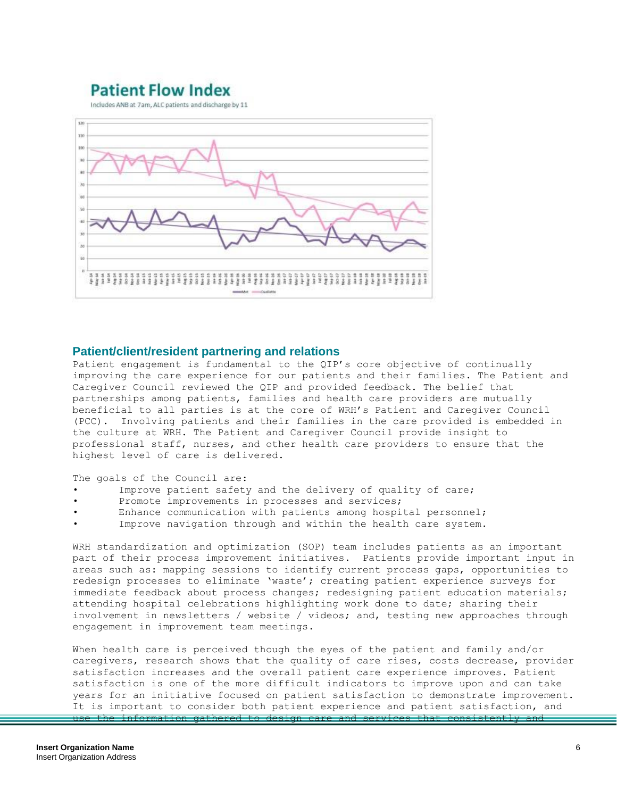## **Patient Flow Index**

Includes ANB at 7am, ALC patients and discharge by 11



### **Patient/client/resident partnering and relations**

Patient engagement is fundamental to the QIP's core objective of continually improving the care experience for our patients and their families. The Patient and Caregiver Council reviewed the QIP and provided feedback. The belief that partnerships among patients, families and health care providers are mutually beneficial to all parties is at the core of WRH's Patient and Caregiver Council (PCC). Involving patients and their families in the care provided is embedded in the culture at WRH. The Patient and Caregiver Council provide insight to professional staff, nurses, and other health care providers to ensure that the highest level of care is delivered.

The goals of the Council are:

- Improve patient safety and the delivery of quality of care;
- Promote improvements in processes and services;
- Enhance communication with patients among hospital personnel;
- Improve navigation through and within the health care system.

WRH standardization and optimization (SOP) team includes patients as an important part of their process improvement initiatives. Patients provide important input in areas such as: mapping sessions to identify current process gaps, opportunities to redesign processes to eliminate 'waste'; creating patient experience surveys for immediate feedback about process changes; redesigning patient education materials; attending hospital celebrations highlighting work done to date; sharing their involvement in newsletters / website / videos; and, testing new approaches through engagement in improvement team meetings.

When health care is perceived though the eyes of the patient and family and/or caregivers, research shows that the quality of care rises, costs decrease, provider satisfaction increases and the overall patient care experience improves. Patient satisfaction is one of the more difficult indicators to improve upon and can take years for an initiative focused on patient satisfaction to demonstrate improvement. It is important to consider both patient experience and patient satisfaction, and use the information gathered to design care and services that consistently and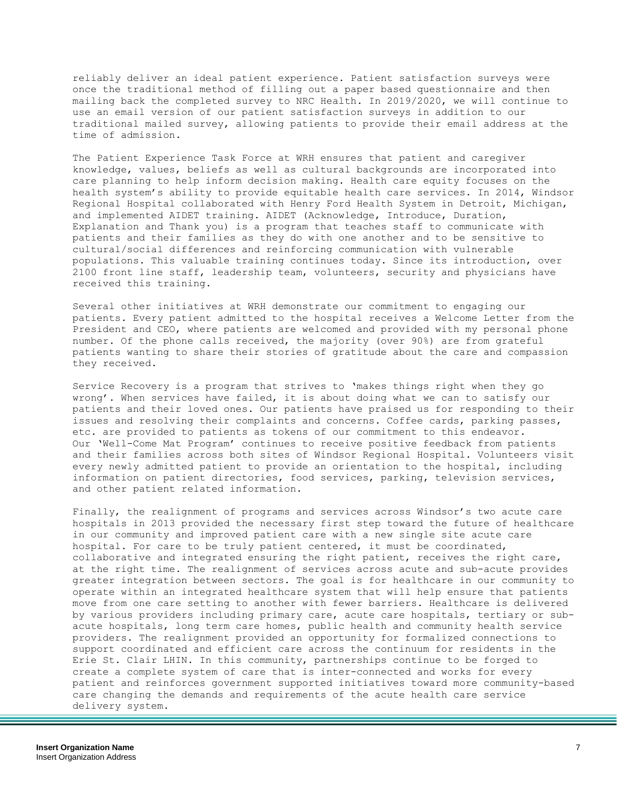reliably deliver an ideal patient experience. Patient satisfaction surveys were once the traditional method of filling out a paper based questionnaire and then mailing back the completed survey to NRC Health. In 2019/2020, we will continue to use an email version of our patient satisfaction surveys in addition to our traditional mailed survey, allowing patients to provide their email address at the time of admission.

The Patient Experience Task Force at WRH ensures that patient and caregiver knowledge, values, beliefs as well as cultural backgrounds are incorporated into care planning to help inform decision making. Health care equity focuses on the health system's ability to provide equitable health care services. In 2014, Windsor Regional Hospital collaborated with Henry Ford Health System in Detroit, Michigan, and implemented AIDET training. AIDET (Acknowledge, Introduce, Duration, Explanation and Thank you) is a program that teaches staff to communicate with patients and their families as they do with one another and to be sensitive to cultural/social differences and reinforcing communication with vulnerable populations. This valuable training continues today. Since its introduction, over 2100 front line staff, leadership team, volunteers, security and physicians have received this training.

Several other initiatives at WRH demonstrate our commitment to engaging our patients. Every patient admitted to the hospital receives a Welcome Letter from the President and CEO, where patients are welcomed and provided with my personal phone number. Of the phone calls received, the majority (over 90%) are from grateful patients wanting to share their stories of gratitude about the care and compassion they received.

Service Recovery is a program that strives to 'makes things right when they go wrong'. When services have failed, it is about doing what we can to satisfy our patients and their loved ones. Our patients have praised us for responding to their issues and resolving their complaints and concerns. Coffee cards, parking passes, etc. are provided to patients as tokens of our commitment to this endeavor. Our 'Well-Come Mat Program' continues to receive positive feedback from patients and their families across both sites of Windsor Regional Hospital. Volunteers visit every newly admitted patient to provide an orientation to the hospital, including information on patient directories, food services, parking, television services, and other patient related information.

Finally, the realignment of programs and services across Windsor's two acute care hospitals in 2013 provided the necessary first step toward the future of healthcare in our community and improved patient care with a new single site acute care hospital. For care to be truly patient centered, it must be coordinated, collaborative and integrated ensuring the right patient, receives the right care, at the right time. The realignment of services across acute and sub-acute provides greater integration between sectors. The goal is for healthcare in our community to operate within an integrated healthcare system that will help ensure that patients move from one care setting to another with fewer barriers. Healthcare is delivered by various providers including primary care, acute care hospitals, tertiary or subacute hospitals, long term care homes, public health and community health service providers. The realignment provided an opportunity for formalized connections to support coordinated and efficient care across the continuum for residents in the Erie St. Clair LHIN. In this community, partnerships continue to be forged to create a complete system of care that is inter-connected and works for every patient and reinforces government supported initiatives toward more community-based care changing the demands and requirements of the acute health care service delivery system.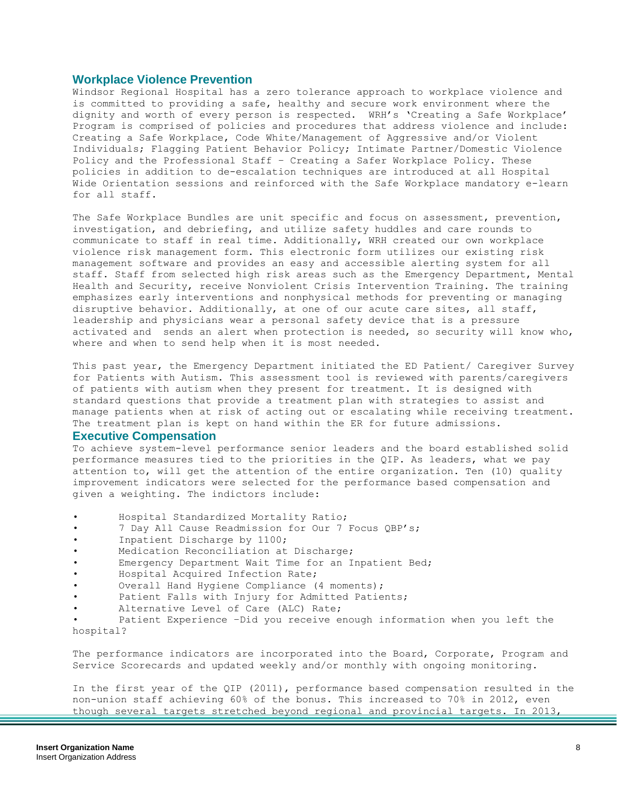### **Workplace Violence Prevention**

Windsor Regional Hospital has a zero tolerance approach to workplace violence and is committed to providing a safe, healthy and secure work environment where the dignity and worth of every person is respected. WRH's 'Creating a Safe Workplace' Program is comprised of policies and procedures that address violence and include: Creating a Safe Workplace, Code White/Management of Aggressive and/or Violent Individuals; Flagging Patient Behavior Policy; Intimate Partner/Domestic Violence Policy and the Professional Staff – Creating a Safer Workplace Policy. These policies in addition to de-escalation techniques are introduced at all Hospital Wide Orientation sessions and reinforced with the Safe Workplace mandatory e-learn for all staff.

The Safe Workplace Bundles are unit specific and focus on assessment, prevention, investigation, and debriefing, and utilize safety huddles and care rounds to communicate to staff in real time. Additionally, WRH created our own workplace violence risk management form. This electronic form utilizes our existing risk management software and provides an easy and accessible alerting system for all staff. Staff from selected high risk areas such as the Emergency Department, Mental Health and Security, receive Nonviolent Crisis Intervention Training. The training emphasizes early interventions and nonphysical methods for preventing or managing disruptive behavior. Additionally, at one of our acute care sites, all staff, leadership and physicians wear a personal safety device that is a pressure activated and sends an alert when protection is needed, so security will know who, where and when to send help when it is most needed.

This past year, the Emergency Department initiated the ED Patient/ Caregiver Survey for Patients with Autism. This assessment tool is reviewed with parents/caregivers of patients with autism when they present for treatment. It is designed with standard questions that provide a treatment plan with strategies to assist and manage patients when at risk of acting out or escalating while receiving treatment. The treatment plan is kept on hand within the ER for future admissions.

#### **Executive Compensation**

To achieve system-level performance senior leaders and the board established solid performance measures tied to the priorities in the QIP. As leaders, what we pay attention to, will get the attention of the entire organization. Ten (10) quality improvement indicators were selected for the performance based compensation and given a weighting. The indictors include:

- Hospital Standardized Mortality Ratio;
- 7 Day All Cause Readmission for Our 7 Focus QBP's;
- Inpatient Discharge by 1100;
- Medication Reconciliation at Discharge;
- Emergency Department Wait Time for an Inpatient Bed;
- Hospital Acquired Infection Rate;
- Overall Hand Hygiene Compliance (4 moments);
- Patient Falls with Injury for Admitted Patients;
- Alternative Level of Care (ALC) Rate;

Patient Experience -Did you receive enough information when you left the hospital?

The performance indicators are incorporated into the Board, Corporate, Program and Service Scorecards and updated weekly and/or monthly with ongoing monitoring.

In the first year of the QIP (2011), performance based compensation resulted in the non-union staff achieving 60% of the bonus. This increased to 70% in 2012, even though several targets stretched beyond regional and provincial targets. In 2013,